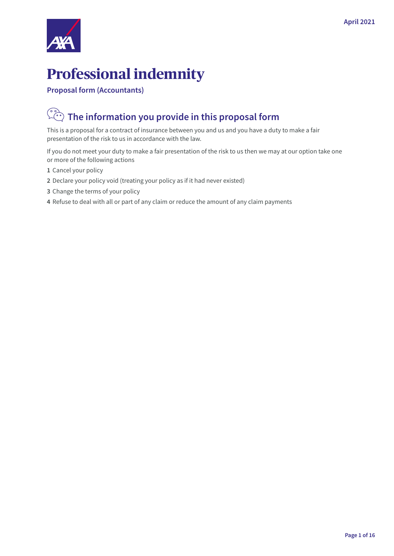

# **Professional indemnity**

**Proposal form (Accountants)**

# **The information you provide in this proposal form**

This is a proposal for a contract of insurance between you and us and you have a duty to make a fair presentation of the risk to us in accordance with the law.

If you do not meet your duty to make a fair presentation of the risk to us then we may at our option take one or more of the following actions

- **1** Cancel your policy
- **2** Declare your policy void (treating your policy as if it had never existed)
- **3** Change the terms of your policy
- **4** Refuse to deal with all or part of any claim or reduce the amount of any claim payments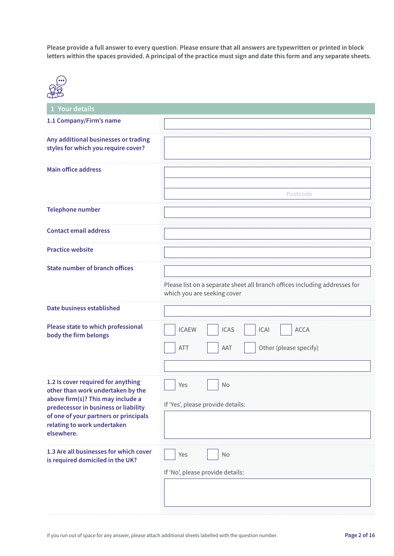**Please provide a full answer to every question. Please ensure that all answers are typewritten or printed in block letters within the spaces provided. A principal of the practice must sign and date this form and any separate sheets.**



| 1 Your details                                                                |                                                                                                           |
|-------------------------------------------------------------------------------|-----------------------------------------------------------------------------------------------------------|
| 1.1 Company/Firm's name                                                       |                                                                                                           |
|                                                                               |                                                                                                           |
| Any additional businesses or trading<br>styles for which you require cover?   |                                                                                                           |
| <b>Main office address</b>                                                    | Postcode                                                                                                  |
| <b>Telephone number</b>                                                       |                                                                                                           |
| <b>Contact email address</b>                                                  |                                                                                                           |
| <b>Practice website</b>                                                       |                                                                                                           |
| <b>State number of branch offices</b>                                         |                                                                                                           |
|                                                                               | Please list on a separate sheet all branch offices including addresses for<br>which you are seeking cover |
| Date business established                                                     |                                                                                                           |
| Please state to which professional<br>body the firm belongs                   | <b>ICAS</b><br><b>ICAI</b><br><b>ACCA</b><br><b>ICAEW</b><br>Other (please specify)<br><b>ATT</b><br>AAT  |
|                                                                               |                                                                                                           |
| 1.2 Is cover required for anything<br>other than work undertaken by the       | Yes<br>No                                                                                                 |
| above firm(s)? This may include a                                             | If 'Yes', please provide details:                                                                         |
| predecessor in business or liability<br>of one of your partners or principals |                                                                                                           |
| relating to work undertaken<br>elsewhere.                                     |                                                                                                           |
| 1.3 Are all businesses for which cover<br>is required domiciled in the UK?    | No<br>Yes                                                                                                 |
|                                                                               | If 'No', please provide details:                                                                          |
|                                                                               |                                                                                                           |
|                                                                               |                                                                                                           |
|                                                                               |                                                                                                           |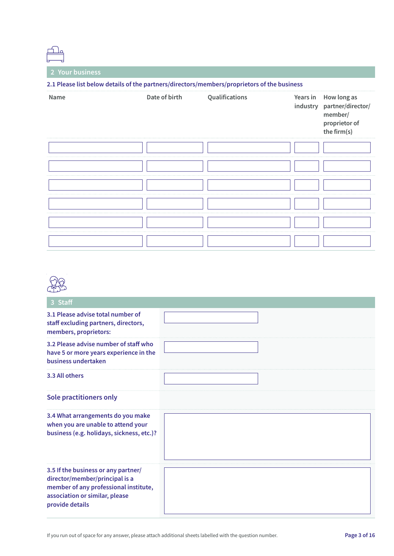| 2.1 Please list below details of the partners/directors/members/proprietors of the business |               |                |          |                                                                                      |  |  |
|---------------------------------------------------------------------------------------------|---------------|----------------|----------|--------------------------------------------------------------------------------------|--|--|
| Name                                                                                        | Date of birth | Qualifications | Years in | How long as<br>industry partner/director/<br>member/<br>proprietor of<br>the firm(s) |  |  |
|                                                                                             |               |                |          |                                                                                      |  |  |
|                                                                                             |               |                |          |                                                                                      |  |  |
|                                                                                             |               |                |          |                                                                                      |  |  |
|                                                                                             |               |                |          |                                                                                      |  |  |
|                                                                                             |               |                |          |                                                                                      |  |  |
|                                                                                             |               |                |          |                                                                                      |  |  |

| Staff                                                                                                                                                               |  |
|---------------------------------------------------------------------------------------------------------------------------------------------------------------------|--|
| 3.1 Please advise total number of<br>staff excluding partners, directors,<br>members, proprietors:                                                                  |  |
| 3.2 Please advise number of staff who<br>have 5 or more years experience in the<br>business undertaken                                                              |  |
| 3.3 All others                                                                                                                                                      |  |
| Sole practitioners only                                                                                                                                             |  |
| 3.4 What arrangements do you make<br>when you are unable to attend your<br>business (e.g. holidays, sickness, etc.)?                                                |  |
| 3.5 If the business or any partner/<br>director/member/principal is a<br>member of any professional institute,<br>association or similar, please<br>provide details |  |

If you run out of space for any answer, please attach additional sheets labelled with the question number.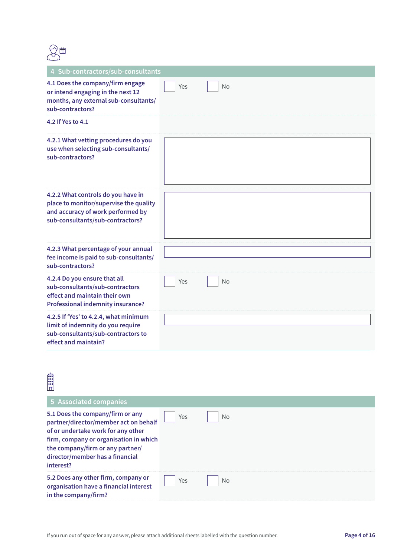

| 4 Sub-contractors/sub-consultants                                                                                                                     |     |    |
|-------------------------------------------------------------------------------------------------------------------------------------------------------|-----|----|
| 4.1 Does the company/firm engage<br>or intend engaging in the next 12<br>months, any external sub-consultants/<br>sub-contractors?                    | Yes | No |
| 4.2 If Yes to 4.1                                                                                                                                     |     |    |
| 4.2.1 What vetting procedures do you<br>use when selecting sub-consultants/<br>sub-contractors?                                                       |     |    |
| 4.2.2 What controls do you have in<br>place to monitor/supervise the quality<br>and accuracy of work performed by<br>sub-consultants/sub-contractors? |     |    |
| 4.2.3 What percentage of your annual<br>fee income is paid to sub-consultants/<br>sub-contractors?                                                    |     |    |
| 4.2.4 Do you ensure that all<br>sub-consultants/sub-contractors<br>effect and maintain their own<br><b>Professional indemnity insurance?</b>          | Yes | No |
| 4.2.5 If 'Yes' to 4.2.4, what minimum<br>limit of indemnity do you require<br>sub-consultants/sub-contractors to<br>effect and maintain?              |     |    |

| 600<br>000<br>000<br>lπ                                                                                                                                                                                                                       |     |    |
|-----------------------------------------------------------------------------------------------------------------------------------------------------------------------------------------------------------------------------------------------|-----|----|
| 5 Associated companies                                                                                                                                                                                                                        |     |    |
| 5.1 Does the company/firm or any<br>partner/director/member act on behalf<br>of or undertake work for any other<br>firm, company or organisation in which<br>the company/firm or any partner/<br>director/member has a financial<br>interest? | Yes | No |
| 5.2 Does any other firm, company or<br>organisation have a financial interest<br>in the company/firm?                                                                                                                                         | Yes | No |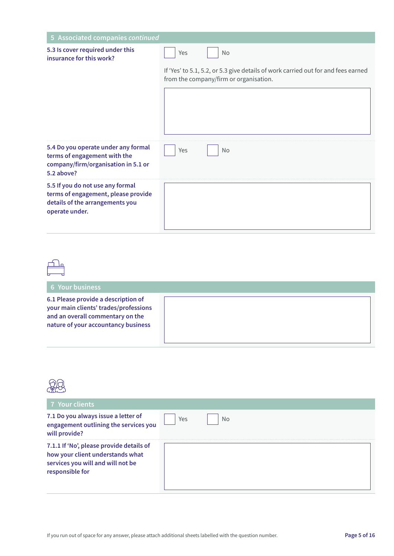| 5 Associated companies continued                                                                                             |                                                                                                                             |
|------------------------------------------------------------------------------------------------------------------------------|-----------------------------------------------------------------------------------------------------------------------------|
|                                                                                                                              |                                                                                                                             |
| 5.3 Is cover required under this<br>insurance for this work?                                                                 | <b>No</b><br>Yes                                                                                                            |
|                                                                                                                              | If 'Yes' to 5.1, 5.2, or 5.3 give details of work carried out for and fees earned<br>from the company/firm or organisation. |
| 5.4 Do you operate under any formal<br>terms of engagement with the<br>company/firm/organisation in 5.1 or<br>5.2 above?     | <b>No</b><br>Yes                                                                                                            |
| 5.5 If you do not use any formal<br>terms of engagement, please provide<br>details of the arrangements you<br>operate under. |                                                                                                                             |

**6.1 Please provide a description of your main clients' trades/professions and an overall commentary on the nature of your accountancy business**

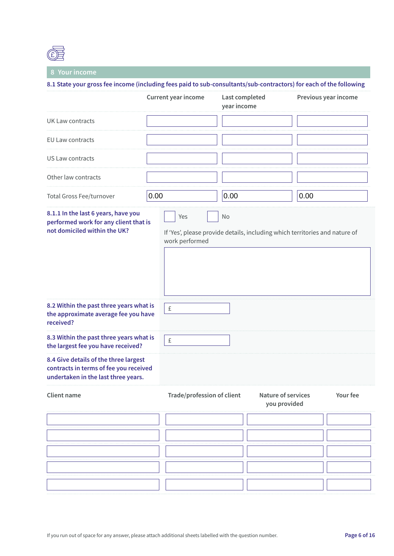

#### **8 Your income**

**8.1 State your gross fee income (including fees paid to sub-consultants/sub-contractors) for each of the following**

|                                                                                                                        |      | Current year income        | Last completed<br>year income |                                           | Previous year income                                                        |  |
|------------------------------------------------------------------------------------------------------------------------|------|----------------------------|-------------------------------|-------------------------------------------|-----------------------------------------------------------------------------|--|
| <b>UK Law contracts</b>                                                                                                |      |                            |                               |                                           |                                                                             |  |
| EU Law contracts                                                                                                       |      |                            |                               |                                           |                                                                             |  |
| US Law contracts                                                                                                       |      |                            |                               |                                           |                                                                             |  |
| Other law contracts                                                                                                    |      |                            |                               |                                           |                                                                             |  |
| Total Gross Fee/turnover                                                                                               | 0.00 |                            | 0.00                          |                                           | 0.00                                                                        |  |
| 8.1.1 In the last 6 years, have you<br>performed work for any client that is<br>not domiciled within the UK?           |      | Yes<br>work performed      | No                            |                                           | If 'Yes', please provide details, including which territories and nature of |  |
| 8.2 Within the past three years what is<br>the approximate average fee you have<br>received?                           |      | £                          |                               |                                           |                                                                             |  |
| 8.3 Within the past three years what is<br>the largest fee you have received?                                          |      | £                          |                               |                                           |                                                                             |  |
| 8.4 Give details of the three largest<br>contracts in terms of fee you received<br>undertaken in the last three years. |      |                            |                               |                                           |                                                                             |  |
| <b>Client name</b>                                                                                                     |      | Trade/profession of client |                               | <b>Nature of services</b><br>you provided | Your fee                                                                    |  |
|                                                                                                                        |      |                            |                               |                                           |                                                                             |  |
|                                                                                                                        |      |                            |                               |                                           |                                                                             |  |
|                                                                                                                        |      |                            |                               |                                           |                                                                             |  |
|                                                                                                                        |      |                            |                               |                                           |                                                                             |  |
|                                                                                                                        |      |                            |                               |                                           |                                                                             |  |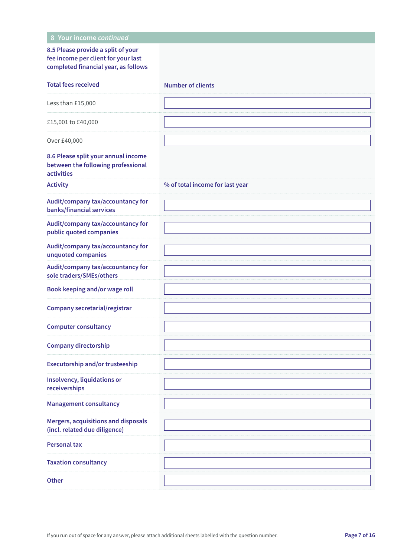| 8 Your income continued                                                                                           |                                 |
|-------------------------------------------------------------------------------------------------------------------|---------------------------------|
| 8.5 Please provide a split of your<br>fee income per client for your last<br>completed financial year, as follows |                                 |
| <b>Total fees received</b>                                                                                        | <b>Number of clients</b>        |
| Less than £15,000                                                                                                 |                                 |
| £15,001 to £40,000                                                                                                |                                 |
| Over £40,000                                                                                                      |                                 |
| 8.6 Please split your annual income<br>between the following professional<br>activities                           |                                 |
| <b>Activity</b>                                                                                                   | % of total income for last year |
| Audit/company tax/accountancy for<br>banks/financial services                                                     |                                 |
| Audit/company tax/accountancy for<br>public quoted companies                                                      |                                 |
| Audit/company tax/accountancy for<br>unquoted companies                                                           |                                 |
| Audit/company tax/accountancy for<br>sole traders/SMEs/others                                                     |                                 |
| Book keeping and/or wage roll                                                                                     |                                 |
| <b>Company secretarial/registrar</b>                                                                              |                                 |
| <b>Computer consultancy</b>                                                                                       |                                 |
| <b>Company directorship</b>                                                                                       |                                 |
| <b>Executorship and/or trusteeship</b>                                                                            |                                 |
| Insolvency, liquidations or<br>receiverships                                                                      |                                 |
| <b>Management consultancy</b>                                                                                     |                                 |
| Mergers, acquisitions and disposals<br>(incl. related due diligence)                                              |                                 |
| <b>Personal tax</b>                                                                                               |                                 |
| <b>Taxation consultancy</b>                                                                                       |                                 |
| <b>Other</b>                                                                                                      |                                 |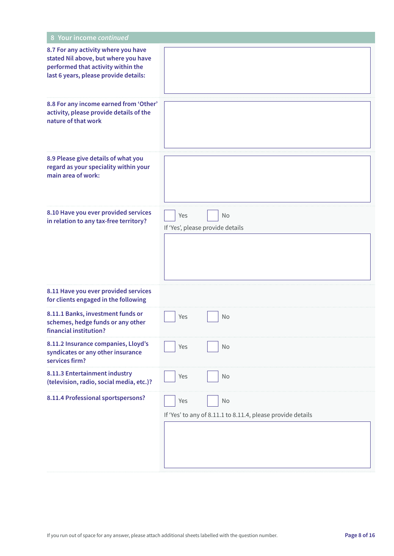| 8 Your income continued                                                                                                                                    |                                                                          |
|------------------------------------------------------------------------------------------------------------------------------------------------------------|--------------------------------------------------------------------------|
| 8.7 For any activity where you have<br>stated Nil above, but where you have<br>performed that activity within the<br>last 6 years, please provide details: |                                                                          |
| 8.8 For any income earned from 'Other'<br>activity, please provide details of the<br>nature of that work                                                   |                                                                          |
| 8.9 Please give details of what you<br>regard as your speciality within your<br>main area of work:                                                         |                                                                          |
| 8.10 Have you ever provided services<br>in relation to any tax-free territory?                                                                             | No<br>Yes<br>If 'Yes', please provide details                            |
| 8.11 Have you ever provided services<br>for clients engaged in the following                                                                               |                                                                          |
| 8.11.1 Banks, investment funds or<br>schemes, hedge funds or any other<br>financial institution?                                                           | Yes<br>No                                                                |
| 8.11.2 Insurance companies, Lloyd's<br>syndicates or any other insurance<br>services firm?                                                                 | No<br>Yes                                                                |
| 8.11.3 Entertainment industry<br>(television, radio, social media, etc.)?                                                                                  | Yes<br>No                                                                |
| 8.11.4 Professional sportspersons?                                                                                                                         | No<br>Yes<br>If 'Yes' to any of 8.11.1 to 8.11.4, please provide details |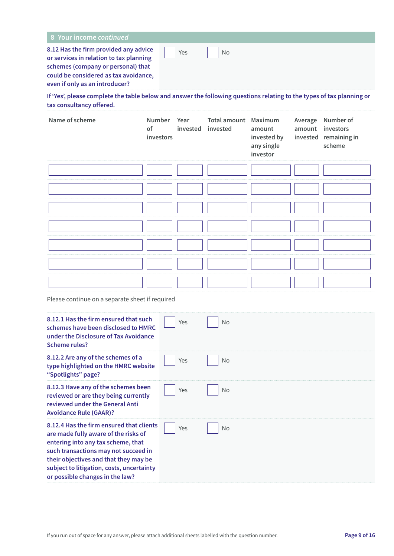| 8 Your income continued                                                                                                                                                                           |     |    |  |  |
|---------------------------------------------------------------------------------------------------------------------------------------------------------------------------------------------------|-----|----|--|--|
| 8.12 Has the firm provided any advice<br>or services in relation to tax planning<br>schemes (company or personal) that<br>could be considered as tax avoidance,<br>even if only as an introducer? | Yes | No |  |  |

**If 'Yes', please complete the table below and answer the following questions relating to the types of tax planning or tax consultancy offered.**

| Name of scheme | of<br>investors | Number Year<br>invested invested | <b>Total amount</b> Maximum | amount<br>invested by<br>any single<br>investor | Average Number of<br>amount investors<br>invested remaining in<br>scheme |
|----------------|-----------------|----------------------------------|-----------------------------|-------------------------------------------------|--------------------------------------------------------------------------|
|                |                 |                                  |                             |                                                 |                                                                          |
|                |                 |                                  |                             |                                                 |                                                                          |
|                |                 |                                  |                             |                                                 |                                                                          |
|                |                 |                                  |                             |                                                 |                                                                          |
|                |                 |                                  |                             |                                                 |                                                                          |
|                |                 |                                  |                             |                                                 |                                                                          |
|                |                 |                                  |                             |                                                 |                                                                          |

Please continue on a separate sheet if required

| 8.12.1 Has the firm ensured that such<br>schemes have been disclosed to HMRC<br>under the Disclosure of Tax Avoidance<br>Scheme rules?                                                                                                                                                  | Yes | <b>No</b> |
|-----------------------------------------------------------------------------------------------------------------------------------------------------------------------------------------------------------------------------------------------------------------------------------------|-----|-----------|
| 8.12.2 Are any of the schemes of a<br>type highlighted on the HMRC website<br>"Spotlights" page?                                                                                                                                                                                        | Yes | <b>No</b> |
| 8.12.3 Have any of the schemes been<br>reviewed or are they being currently<br>reviewed under the General Anti<br><b>Avoidance Rule (GAAR)?</b>                                                                                                                                         | Yes | <b>No</b> |
| 8.12.4 Has the firm ensured that clients<br>are made fully aware of the risks of<br>entering into any tax scheme, that<br>such transactions may not succeed in<br>their objectives and that they may be<br>subject to litigation, costs, uncertainty<br>or possible changes in the law? | Yes | <b>No</b> |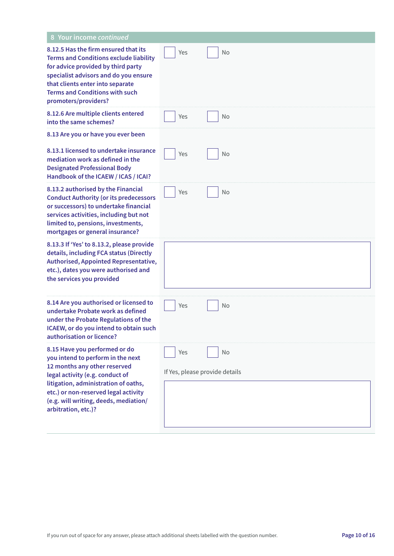| 8 Your income continued                                                                                                                                                                                                                                                               |                                       |           |
|---------------------------------------------------------------------------------------------------------------------------------------------------------------------------------------------------------------------------------------------------------------------------------------|---------------------------------------|-----------|
| 8.12.5 Has the firm ensured that its<br><b>Terms and Conditions exclude liability</b><br>for advice provided by third party<br>specialist advisors and do you ensure<br>that clients enter into separate<br><b>Terms and Conditions with such</b><br>promoters/providers?             | Yes                                   | <b>No</b> |
| 8.12.6 Are multiple clients entered<br>into the same schemes?                                                                                                                                                                                                                         | Yes                                   | <b>No</b> |
| 8.13 Are you or have you ever been                                                                                                                                                                                                                                                    |                                       |           |
| 8.13.1 licensed to undertake insurance<br>mediation work as defined in the<br><b>Designated Professional Body</b><br>Handbook of the ICAEW / ICAS / ICAI?                                                                                                                             | Yes                                   | No        |
| 8.13.2 authorised by the Financial<br><b>Conduct Authority (or its predecessors</b><br>or successors) to undertake financial<br>services activities, including but not<br>limited to, pensions, investments,<br>mortgages or general insurance?                                       | Yes                                   | <b>No</b> |
| 8.13.3 If 'Yes' to 8.13.2, please provide<br>details, including FCA status (Directly<br>Authorised, Appointed Representative,<br>etc.), dates you were authorised and<br>the services you provided                                                                                    |                                       |           |
| 8.14 Are you authorised or licensed to<br>undertake Probate work as defined<br>under the Probate Regulations of the<br>ICAEW, or do you intend to obtain such<br>authorisation or licence?                                                                                            | Yes                                   | No        |
| 8.15 Have you performed or do<br>you intend to perform in the next<br>12 months any other reserved<br>legal activity (e.g. conduct of<br>litigation, administration of oaths,<br>etc.) or non-reserved legal activity<br>(e.g. will writing, deeds, mediation/<br>arbitration, etc.)? | Yes<br>If Yes, please provide details | No        |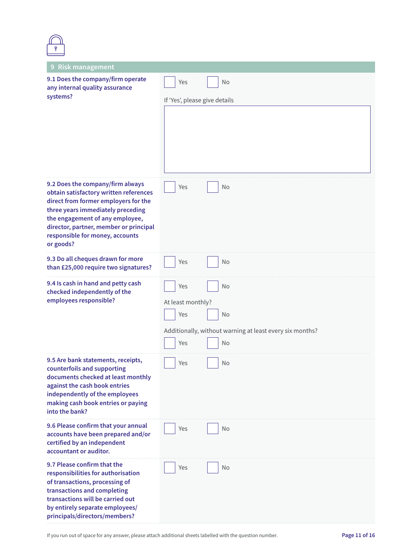| 9 Risk management                                                                                                                                                                                                                                                                    |                                                          |  |  |
|--------------------------------------------------------------------------------------------------------------------------------------------------------------------------------------------------------------------------------------------------------------------------------------|----------------------------------------------------------|--|--|
| 9.1 Does the company/firm operate<br>any internal quality assurance                                                                                                                                                                                                                  | No<br>Yes                                                |  |  |
| systems?                                                                                                                                                                                                                                                                             | If 'Yes', please give details                            |  |  |
|                                                                                                                                                                                                                                                                                      |                                                          |  |  |
| 9.2 Does the company/firm always<br>obtain satisfactory written references<br>direct from former employers for the<br>three years immediately preceding<br>the engagement of any employee,<br>director, partner, member or principal<br>responsible for money, accounts<br>or goods? | Yes<br>No                                                |  |  |
| 9.3 Do all cheques drawn for more<br>than £25,000 require two signatures?                                                                                                                                                                                                            | Yes<br>No                                                |  |  |
| 9.4 Is cash in hand and petty cash<br>checked independently of the                                                                                                                                                                                                                   | Yes<br><b>No</b>                                         |  |  |
| employees responsible?                                                                                                                                                                                                                                                               | At least monthly?                                        |  |  |
|                                                                                                                                                                                                                                                                                      | Yes<br>No                                                |  |  |
|                                                                                                                                                                                                                                                                                      | Additionally, without warning at least every six months? |  |  |
|                                                                                                                                                                                                                                                                                      | Yes<br><b>No</b>                                         |  |  |
| 9.5 Are bank statements, receipts,<br>counterfoils and supporting<br>documents checked at least monthly<br>against the cash book entries<br>independently of the employees<br>making cash book entries or paying<br>into the bank?                                                   | No<br>Yes                                                |  |  |
| 9.6 Please confirm that your annual<br>accounts have been prepared and/or<br>certified by an independent<br>accountant or auditor.                                                                                                                                                   | Yes<br>No                                                |  |  |
| 9.7 Please confirm that the<br>responsibilities for authorisation<br>of transactions, processing of<br>transactions and completing<br>transactions will be carried out<br>by entirely separate employees/<br>principals/directors/members?                                           | Yes<br>No                                                |  |  |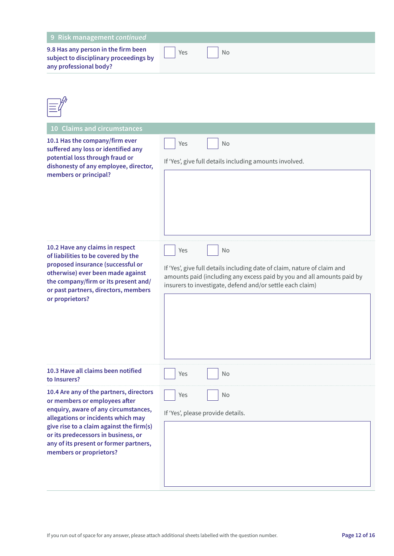| 9 Risk management continued                                                                                                                                                                                                                                                                                    |                                                                                                                                                                                                                                     |
|----------------------------------------------------------------------------------------------------------------------------------------------------------------------------------------------------------------------------------------------------------------------------------------------------------------|-------------------------------------------------------------------------------------------------------------------------------------------------------------------------------------------------------------------------------------|
| 9.8 Has any person in the firm been<br>subject to disciplinary proceedings by<br>any professional body?                                                                                                                                                                                                        | Yes<br><b>No</b>                                                                                                                                                                                                                    |
| 10 Claims and circumstances                                                                                                                                                                                                                                                                                    |                                                                                                                                                                                                                                     |
| 10.1 Has the company/firm ever<br>suffered any loss or identified any<br>potential loss through fraud or<br>dishonesty of any employee, director,<br>members or principal?                                                                                                                                     | Yes<br><b>No</b><br>If 'Yes', give full details including amounts involved.                                                                                                                                                         |
| 10.2 Have any claims in respect<br>of liabilities to be covered by the<br>proposed insurance (successful or<br>otherwise) ever been made against<br>the company/firm or its present and/<br>or past partners, directors, members<br>or proprietors?                                                            | Yes<br><b>No</b><br>If 'Yes', give full details including date of claim, nature of claim and<br>amounts paid (including any excess paid by you and all amounts paid by<br>insurers to investigate, defend and/or settle each claim) |
| 10.3 Have all claims been notified<br>to Insurers?                                                                                                                                                                                                                                                             | No<br>Yes                                                                                                                                                                                                                           |
| 10.4 Are any of the partners, directors<br>or members or employees after<br>enquiry, aware of any circumstances,<br>allegations or incidents which may<br>give rise to a claim against the firm(s)<br>or its predecessors in business, or<br>any of its present or former partners,<br>members or proprietors? | Yes<br>No<br>If 'Yes', please provide details.                                                                                                                                                                                      |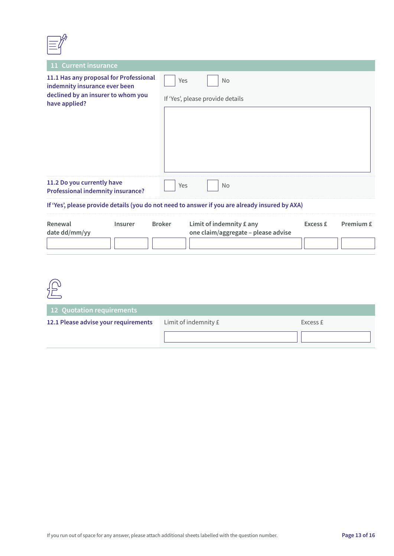

| 11 Current insurance                                                                                                           |                                                                                  |          |           |  |
|--------------------------------------------------------------------------------------------------------------------------------|----------------------------------------------------------------------------------|----------|-----------|--|
| 11.1 Has any proposal for Professional<br>indemnity insurance ever been<br>declined by an insurer to whom you<br>have applied? | Yes<br>No<br>If 'Yes', please provide details                                    |          |           |  |
|                                                                                                                                |                                                                                  |          |           |  |
| 11.2 Do you currently have<br>Yes<br>No<br><b>Professional indemnity insurance?</b>                                            |                                                                                  |          |           |  |
| If 'Yes', please provide details (you do not need to answer if you are already insured by AXA)                                 |                                                                                  |          |           |  |
| Renewal<br>Insurer<br>date dd/mm/yy                                                                                            | <b>Broker</b><br>Limit of indemnity £ any<br>one claim/aggregate - please advise | Excess £ | Premium £ |  |



| 12 Quotation requirements            |                      |          |  |
|--------------------------------------|----------------------|----------|--|
| 12.1 Please advise your requirements | Limit of indemnity £ | Excess £ |  |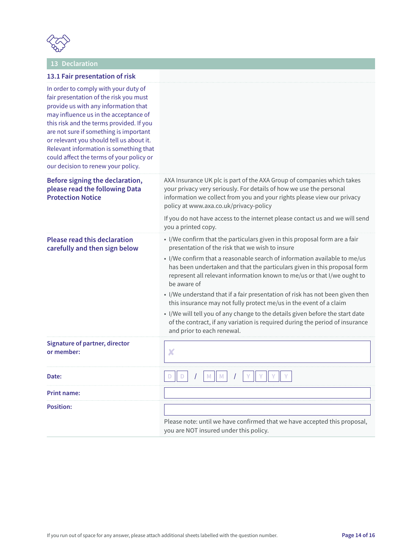

### **13 Declaration**

|  |  |  |  |  | 13.1 Fair presentation of risk |  |  |
|--|--|--|--|--|--------------------------------|--|--|
|--|--|--|--|--|--------------------------------|--|--|

| In order to comply with your duty of<br>fair presentation of the risk you must<br>provide us with any information that<br>may influence us in the acceptance of<br>this risk and the terms provided. If you<br>are not sure if something is important<br>or relevant you should tell us about it.<br>Relevant information is something that<br>could affect the terms of your policy or<br>our decision to renew your policy. |                                                                                                                                                                                                                                                                                                                                                                                                                                                                                                                                                                                                                                                                                                                                        |
|-------------------------------------------------------------------------------------------------------------------------------------------------------------------------------------------------------------------------------------------------------------------------------------------------------------------------------------------------------------------------------------------------------------------------------|----------------------------------------------------------------------------------------------------------------------------------------------------------------------------------------------------------------------------------------------------------------------------------------------------------------------------------------------------------------------------------------------------------------------------------------------------------------------------------------------------------------------------------------------------------------------------------------------------------------------------------------------------------------------------------------------------------------------------------------|
| Before signing the declaration,<br>please read the following Data<br><b>Protection Notice</b>                                                                                                                                                                                                                                                                                                                                 | AXA Insurance UK plc is part of the AXA Group of companies which takes<br>your privacy very seriously. For details of how we use the personal<br>information we collect from you and your rights please view our privacy<br>policy at www.axa.co.uk/privacy-policy                                                                                                                                                                                                                                                                                                                                                                                                                                                                     |
|                                                                                                                                                                                                                                                                                                                                                                                                                               | If you do not have access to the internet please contact us and we will send<br>you a printed copy.                                                                                                                                                                                                                                                                                                                                                                                                                                                                                                                                                                                                                                    |
| <b>Please read this declaration</b><br>carefully and then sign below                                                                                                                                                                                                                                                                                                                                                          | • I/We confirm that the particulars given in this proposal form are a fair<br>presentation of the risk that we wish to insure<br>• I/We confirm that a reasonable search of information available to me/us<br>has been undertaken and that the particulars given in this proposal form<br>represent all relevant information known to me/us or that I/we ought to<br>be aware of<br>• I/We understand that if a fair presentation of risk has not been given then<br>this insurance may not fully protect me/us in the event of a claim<br>• I/We will tell you of any change to the details given before the start date<br>of the contract, if any variation is required during the period of insurance<br>and prior to each renewal. |
| <b>Signature of partner, director</b><br>or member:                                                                                                                                                                                                                                                                                                                                                                           | X                                                                                                                                                                                                                                                                                                                                                                                                                                                                                                                                                                                                                                                                                                                                      |
| Date:                                                                                                                                                                                                                                                                                                                                                                                                                         | $\mathbf{r}$                                                                                                                                                                                                                                                                                                                                                                                                                                                                                                                                                                                                                                                                                                                           |
| <b>Print name:</b>                                                                                                                                                                                                                                                                                                                                                                                                            |                                                                                                                                                                                                                                                                                                                                                                                                                                                                                                                                                                                                                                                                                                                                        |
| <b>Position:</b>                                                                                                                                                                                                                                                                                                                                                                                                              | Please note: until we have confirmed that we have accepted this proposal,<br>you are NOT insured under this policy.                                                                                                                                                                                                                                                                                                                                                                                                                                                                                                                                                                                                                    |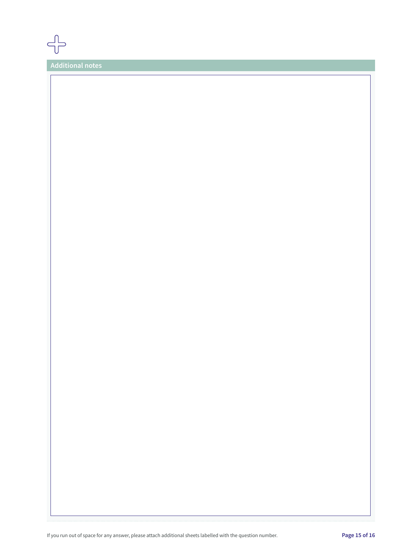

**Additional notes**